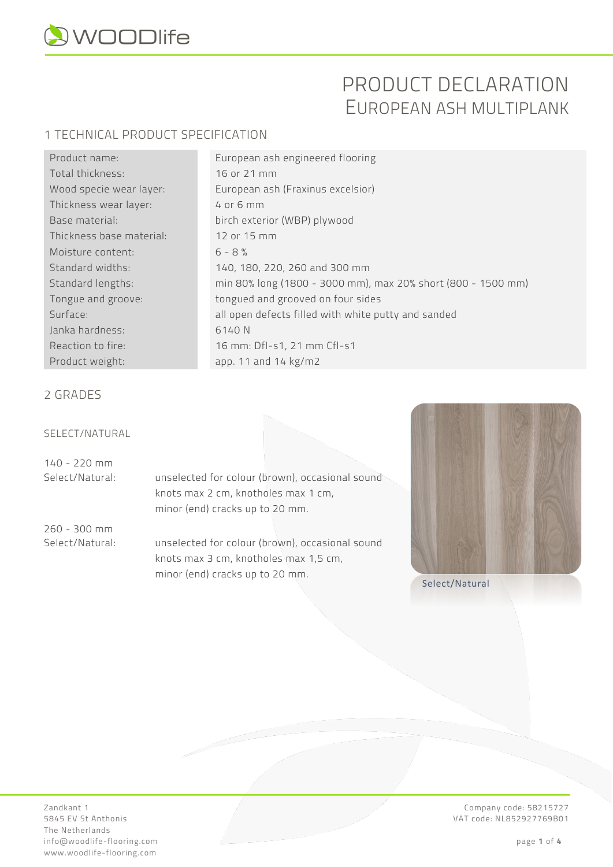

# PRODUCT DECLARATION EUROPEAN ASH MULTIPLANK

#### 1 TECHNICAL PRODUCT SPECIFICATION

| Product name:            |
|--------------------------|
| Total thickness:         |
| Wood specie wear layer:  |
| Thickness wear layer:    |
| Base material:           |
| Thickness base material: |
| Moisture content:        |
| Standard widths:         |
| Standard lengths:        |
| Tongue and groove:       |
| Surface:                 |
| Janka hardness:          |
| Reaction to fire:        |
| Product weight:          |

European ash engineered flooring 16 or 21 mm European ash (Fraxinus excelsior)  $4$  or 6 mm birch exterior (WBP) plywood 12 or 15 mm  $6 - 8 %$ 140, 180, 220, 260 and 300 mm min 80% long (1800 - 3000 mm), max 20% short (800 - 1500 mm) tongued and grooved on four sides all open defects filled with white putty and sanded 6140 N 16 mm: Dfl-s1, 21 mm Cfl-s1 app. 11 and 14  $kg/m2$ 

#### 2 GRADES

#### SELECT/NATURAL

140 - 220 mm

Select/Natural: unselected for colour (brown), occasional sound knots max 2 cm, knotholes max 1 cm, minor (end) cracks up to 20 mm.

260 - 300 mm

Select/Natural: unselected for colour (brown), occasional sound knots max 3 cm, knotholes max 1,5 cm, minor (end) cracks up to 20 mm.<br>Select/Natural



The Netherlands info@woodlife-flooring.com page **1** of **4** www.woodlife-flooring.com

Zandkant 1 Company code: 58215727 VAT code: NL852927769B01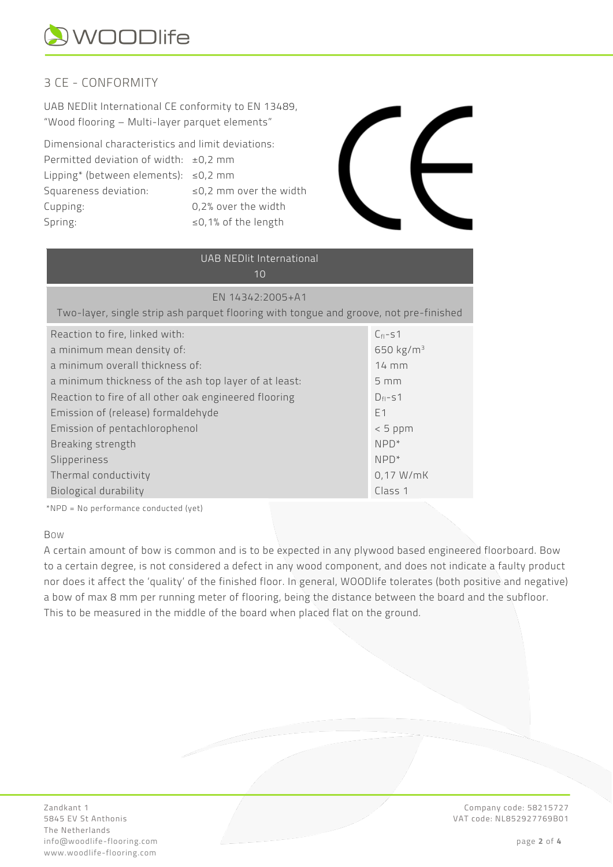

### 3 CE - CONFORMITY

UAB NEDlit International CE conformity to EN 13489, "Wood flooring – Multi-layer parquet elements"

Dimensional characteristics and limit deviations: Permitted deviation of width:  $\pm 0.2$  mm Lipping\* (between elements): ≤0,2 mm Squareness deviation:  $\leq 0.2$  mm over the width Cupping: 0,2% over the width Spring: ≤0,1% of the length



## UAB NEDlit International

| EN 14342:2005+A1                                                                      |  |
|---------------------------------------------------------------------------------------|--|
| Two-layer, single strip ash parquet flooring with tongue and groove, not pre-finished |  |

| Reaction to fire, linked with:                        | $C_{fl}$ -s1     |
|-------------------------------------------------------|------------------|
| a minimum mean density of:                            | 650 $kg/m^3$     |
| a minimum overall thickness of:                       | $14 \text{ mm}$  |
| a minimum thickness of the ash top layer of at least: | $5 \, \text{mm}$ |
| Reaction to fire of all other oak engineered flooring | $D_{fl}$ -s1     |
| Emission of (release) formaldehyde                    | F <sub>1</sub>   |
| Emission of pentachlorophenol                         | $< 5$ ppm        |
| Breaking strength                                     | $NPP^*$          |
| Slipperiness                                          | $NPD*$           |
| Thermal conductivity                                  | $0,17$ W/mK      |
| Biological durability                                 | Class 1          |
|                                                       |                  |

\*NPD = No performance conducted (yet)

#### BOW

A certain amount of bow is common and is to be expected in any plywood based engineered floorboard. Bow to a certain degree, is not considered a defect in any wood component, and does not indicate a faulty product nor does it affect the 'quality' of the finished floor. In general, WOODlife tolerates (both positive and negative) a bow of max 8 mm per running meter of flooring, being the distance between the board and the subfloor. This to be measured in the middle of the board when placed flat on the ground.

Zandkant 1 Company code: 58215727 The Netherlands info@woodlife-flooring.com page **2** of **4** www.woodlife-flooring.com

VAT code: NL852927769B01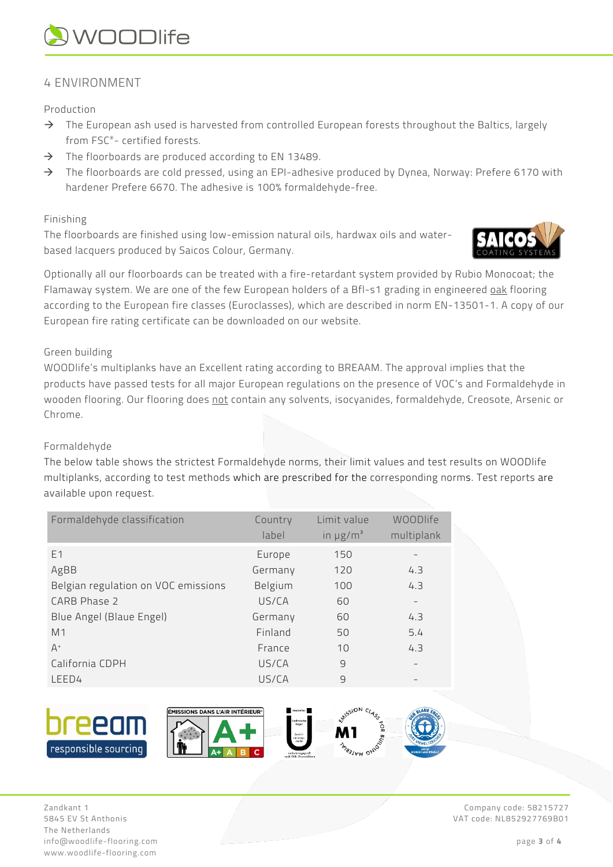# **QWOODlife**

#### 4 ENVIRONMENT

Production

- $\rightarrow$  The European ash used is harvested from controlled European forests throughout the Baltics, largely from FSC®- certified forests.
- $\rightarrow$  The floorboards are produced according to EN 13489.
- $\rightarrow$  The floorboards are cold pressed, using an EPI-adhesive produced by Dynea, Norway: Prefere 6170 with hardener Prefere 6670. The adhesive is 100% formaldehyde-free.

#### Finishing

The floorboards are finished using low-emission natural oils, hardwax oils and waterbased lacquers produced by Saicos Colour, Germany.



Optionally all our floorboards can be treated with a fire-retardant system provided by Rubio Monocoat; the Flamaway system. We are one of the few European holders of a Bfl-s1 grading in engineered oak flooring according to the European fire classes (Euroclasses), which are described in norm EN-13501-1. A copy of our European fire rating certificate can be downloaded on our website.

#### Green building

WOODlife's multiplanks have an Excellent rating according to BREAAM. The approval implies that the products have passed tests for all major European regulations on the presence of VOC's and Formaldehyde in wooden flooring. Our flooring does not contain any solvents, isocyanides, formaldehyde, Creosote, Arsenic or Chrome.

#### Formaldehyde

The below table shows the strictest Formaldehyde norms, their limit values and test results on WOODlife multiplanks, according to test methods which are prescribed for the corresponding norms. Test reports are available upon request.

| Formaldehyde classification         | Country<br>label | Limit value<br>in $\mu$ g/m <sup>3</sup> | WOODlife<br>multiplank |
|-------------------------------------|------------------|------------------------------------------|------------------------|
| F <sub>1</sub>                      | Europe           | 150                                      |                        |
| AgBB                                | Germany          | 120                                      | 4.3                    |
| Belgian regulation on VOC emissions | Belgium          | 100                                      | 4.3                    |
| CARB Phase 2                        | US/CA            | 60                                       |                        |
| Blue Angel (Blaue Engel)            | Germany          | 60                                       | 4.3                    |
| M <sub>1</sub>                      | Finland          | 50                                       | 5.4                    |
| $A^+$                               | France           | 10                                       | 4.3                    |
| California CDPH                     | US/CA            | $\overline{9}$                           |                        |
| LEED4                               | US/CA            | $\overline{9}$                           |                        |



Zandkant 1 Company code: 58215727 5845 EV St Anthonis VAT code: NL852927769B01 The Netherlands info@woodlife-flooring.com page **3** of **4** www.woodlife-flooring.com